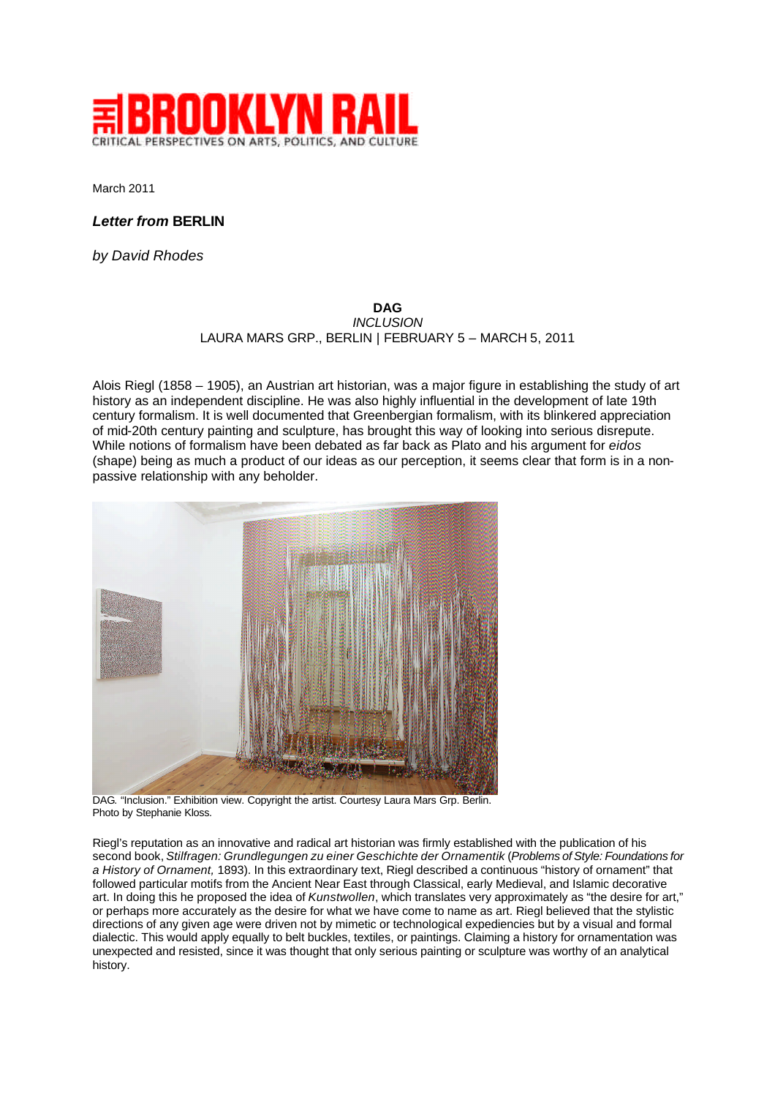

March 2011

## *Letter from* **BERLIN**

*by David Rhodes*

## **DAG** *INCLUSION* LAURA MARS GRP., BERLIN | FEBRUARY 5 – MARCH 5, 2011

Alois Riegl (1858 – 1905), an Austrian art historian, was a major figure in establishing the study of art history as an independent discipline. He was also highly influential in the development of late 19th century formalism. It is well documented that Greenbergian formalism, with its blinkered appreciation of mid-20th century painting and sculpture, has brought this way of looking into serious disrepute. While notions of formalism have been debated as far back as Plato and his argument for *eidos* (shape) being as much a product of our ideas as our perception, it seems clear that form is in a nonpassive relationship with any beholder.



DAG. "Inclusion." Exhibition view. Copyright the artist. Courtesy Laura Mars Grp. Berlin. Photo by Stephanie Kloss.

Riegl's reputation as an innovative and radical art historian was firmly established with the publication of his second book, *Stilfragen: Grundlegungen zu einer Geschichte der Ornamentik* (*Problems of Style: Foundations for a History of Ornament,* 1893). In this extraordinary text, Riegl described a continuous "history of ornament" that followed particular motifs from the Ancient Near East through Classical, early Medieval, and Islamic decorative art. In doing this he proposed the idea of *Kunstwollen*, which translates very approximately as "the desire for art," or perhaps more accurately as the desire for what we have come to name as art. Riegl believed that the stylistic directions of any given age were driven not by mimetic or technological expediencies but by a visual and formal dialectic. This would apply equally to belt buckles, textiles, or paintings. Claiming a history for ornamentation was unexpected and resisted, since it was thought that only serious painting or sculpture was worthy of an analytical history.